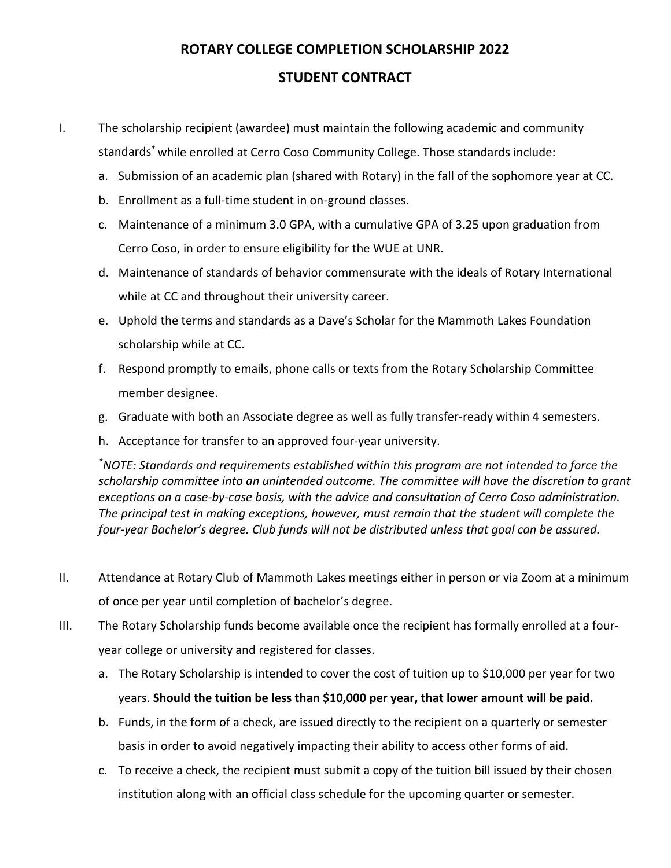## **ROTARY COLLEGE COMPLETION SCHOLARSHIP 2022 STUDENT CONTRACT**

- I. The scholarship recipient (awardee) must maintain the following academic and community standards\* while enrolled at Cerro Coso Community College. Those standards include:
	- a. Submission of an academic plan (shared with Rotary) in the fall of the sophomore year at CC.
	- b. Enrollment as a full-time student in on-ground classes.
	- c. Maintenance of a minimum 3.0 GPA, with a cumulative GPA of 3.25 upon graduation from Cerro Coso, in order to ensure eligibility for the WUE at UNR.
	- d. Maintenance of standards of behavior commensurate with the ideals of Rotary International while at CC and throughout their university career.
	- e. Uphold the terms and standards as a Dave's Scholar for the Mammoth Lakes Foundation scholarship while at CC.
	- f. Respond promptly to emails, phone calls or texts from the Rotary Scholarship Committee member designee.
	- g. Graduate with both an Associate degree as well as fully transfer-ready within 4 semesters.
	- h. Acceptance for transfer to an approved four-year university.

*\*NOTE: Standards and requirements established within this program are not intended to force the scholarship committee into an unintended outcome. The committee will have the discretion to grant exceptions on a case-by-case basis, with the advice and consultation of Cerro Coso administration. The principal test in making exceptions, however, must remain that the student will complete the four-year Bachelor's degree. Club funds will not be distributed unless that goal can be assured.*

- II. Attendance at Rotary Club of Mammoth Lakes meetings either in person or via Zoom at a minimum of once per year until completion of bachelor's degree.
- III. The Rotary Scholarship funds become available once the recipient has formally enrolled at a fouryear college or university and registered for classes.
	- a. The Rotary Scholarship is intended to cover the cost of tuition up to \$10,000 per year for two years. **Should the tuition be less than \$10,000 per year, that lower amount will be paid.**
	- b. Funds, in the form of a check, are issued directly to the recipient on a quarterly or semester basis in order to avoid negatively impacting their ability to access other forms of aid.
	- c. To receive a check, the recipient must submit a copy of the tuition bill issued by their chosen institution along with an official class schedule for the upcoming quarter or semester.